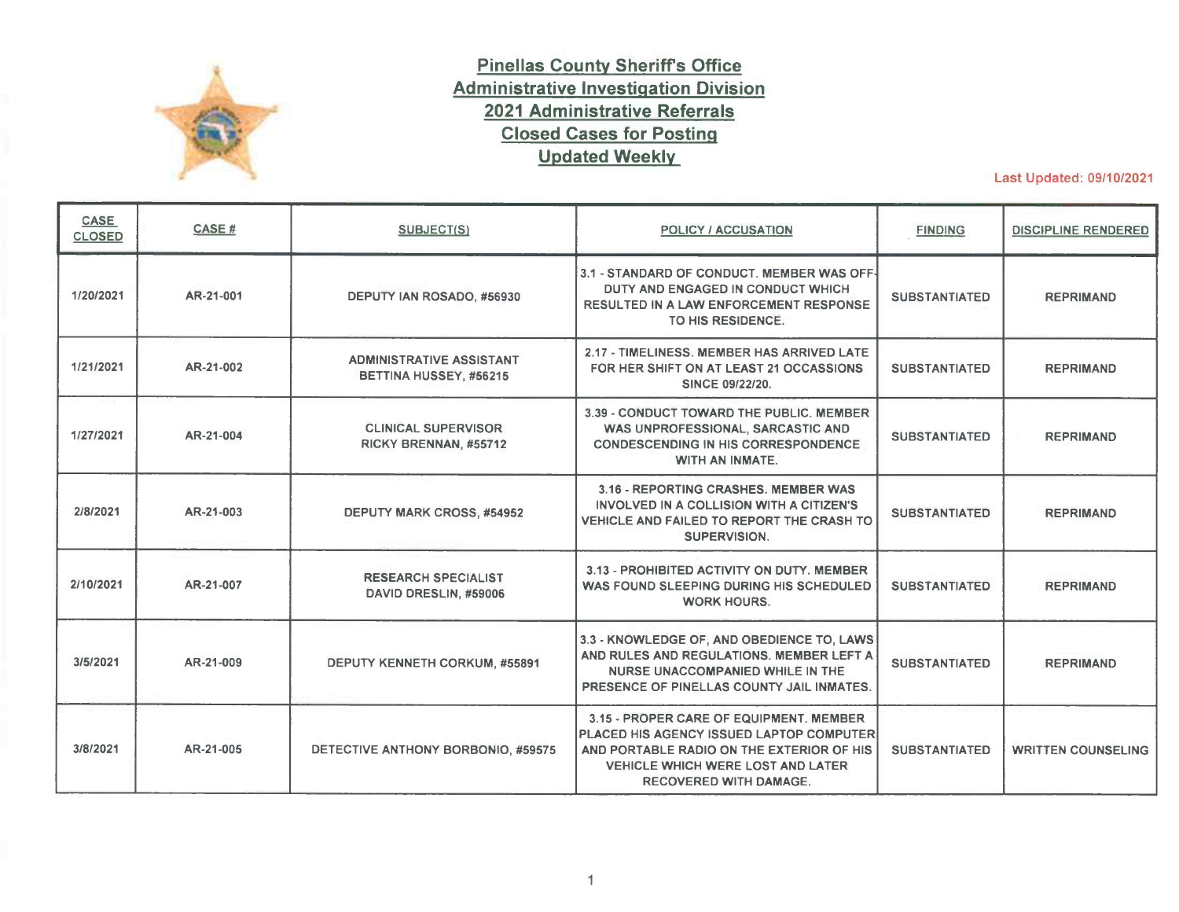

## **Pinellas County Sheriff's Office Administrative Investigation Division 2021 Administrative Referrals Closed Cases for Posting Updated Weekly**

Last Updated: 09/10/2021

| <b>CASE</b><br><b>CLOSED</b> | CASE#     | <b>SUBJECT(S)</b>                                         | <b>POLICY / ACCUSATION</b>                                                                                                                                                                                    | <b>FINDING</b>       | <b>DISCIPLINE RENDERED</b> |
|------------------------------|-----------|-----------------------------------------------------------|---------------------------------------------------------------------------------------------------------------------------------------------------------------------------------------------------------------|----------------------|----------------------------|
| 1/20/2021                    | AR-21-001 | DEPUTY IAN ROSADO, #56930                                 | 3.1 - STANDARD OF CONDUCT. MEMBER WAS OFF-<br>DUTY AND ENGAGED IN CONDUCT WHICH<br><b>RESULTED IN A LAW ENFORCEMENT RESPONSE</b><br>TO HIS RESIDENCE.                                                         | <b>SUBSTANTIATED</b> | <b>REPRIMAND</b>           |
| 1/21/2021                    | AR-21-002 | <b>ADMINISTRATIVE ASSISTANT</b><br>BETTINA HUSSEY, #56215 | 2.17 - TIMELINESS, MEMBER HAS ARRIVED LATE<br>FOR HER SHIFT ON AT LEAST 21 OCCASSIONS<br><b>SINCE 09/22/20.</b>                                                                                               | <b>SUBSTANTIATED</b> | <b>REPRIMAND</b>           |
| 1/27/2021                    | AR-21-004 | <b>CLINICAL SUPERVISOR</b><br>RICKY BRENNAN, #55712       | 3.39 - CONDUCT TOWARD THE PUBLIC, MEMBER<br>WAS UNPROFESSIONAL, SARCASTIC AND<br><b>CONDESCENDING IN HIS CORRESPONDENCE</b><br><b>WITH AN INMATE.</b>                                                         | <b>SUBSTANTIATED</b> | <b>REPRIMAND</b>           |
| 2/8/2021                     | AR-21-003 | <b>DEPUTY MARK CROSS, #54952</b>                          | 3.16 - REPORTING CRASHES, MEMBER WAS<br>INVOLVED IN A COLLISION WITH A CITIZEN'S<br>VEHICLE AND FAILED TO REPORT THE CRASH TO<br>SUPERVISION.                                                                 | <b>SUBSTANTIATED</b> | <b>REPRIMAND</b>           |
| 2/10/2021                    | AR-21-007 | <b>RESEARCH SPECIALIST</b><br>DAVID DRESLIN, #59006       | 3.13 - PROHIBITED ACTIVITY ON DUTY. MEMBER<br>WAS FOUND SLEEPING DURING HIS SCHEDULED<br><b>WORK HOURS.</b>                                                                                                   | <b>SUBSTANTIATED</b> | <b>REPRIMAND</b>           |
| 3/5/2021                     | AR-21-009 | DEPUTY KENNETH CORKUM, #55891                             | 3.3 - KNOWLEDGE OF, AND OBEDIENCE TO, LAWS<br>AND RULES AND REGULATIONS. MEMBER LEFT A<br>NURSE UNACCOMPANIED WHILE IN THE<br>PRESENCE OF PINELLAS COUNTY JAIL INMATES.                                       | <b>SUBSTANTIATED</b> | <b>REPRIMAND</b>           |
| 3/8/2021                     | AR-21-005 | DETECTIVE ANTHONY BORBONIO, #59575                        | 3.15 - PROPER CARE OF EQUIPMENT, MEMBER<br>PLACED HIS AGENCY ISSUED LAPTOP COMPUTER<br>AND PORTABLE RADIO ON THE EXTERIOR OF HIS<br><b>VEHICLE WHICH WERE LOST AND LATER</b><br><b>RECOVERED WITH DAMAGE.</b> | <b>SUBSTANTIATED</b> | <b>WRITTEN COUNSELING</b>  |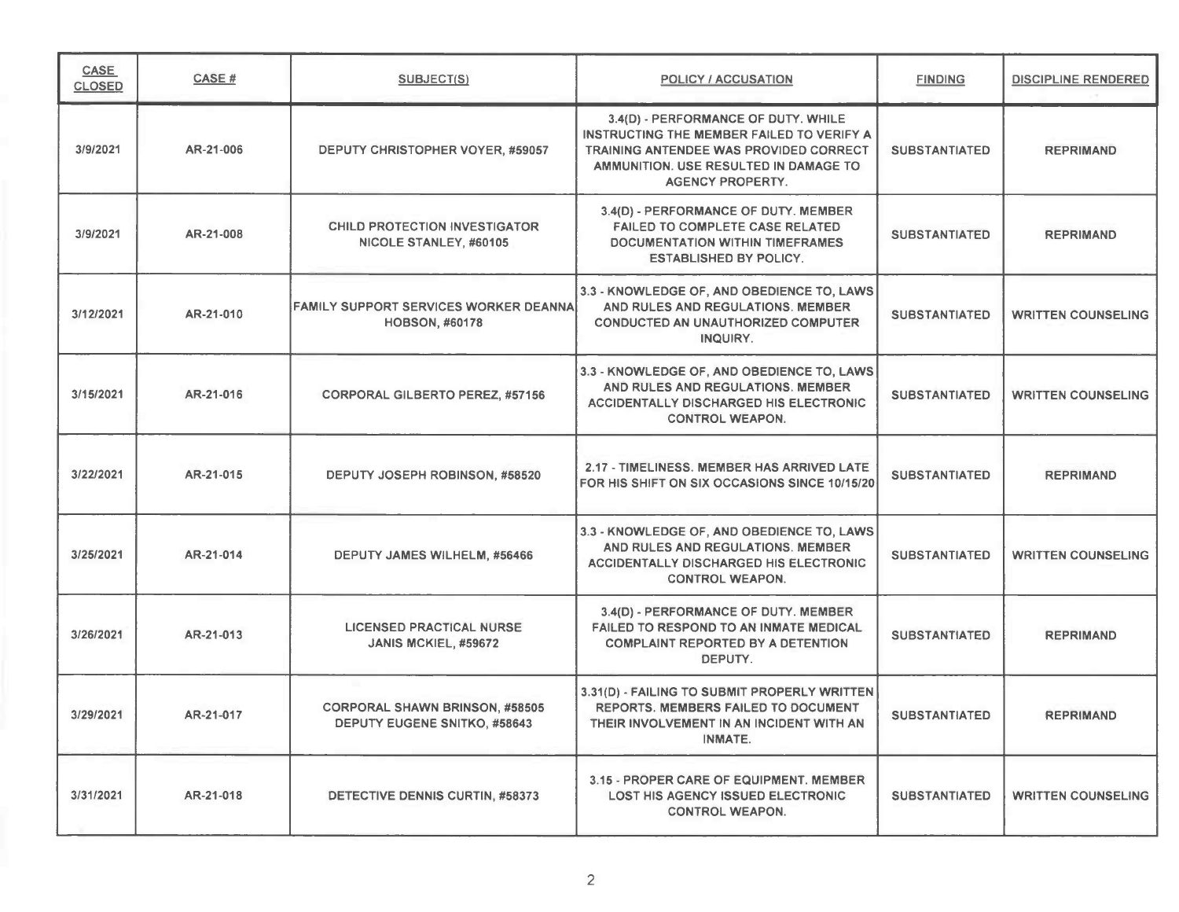| CASE<br><b>CLOSED</b> | CASE#     | <b>SUBJECT(S)</b>                                                     | POLICY / ACCUSATION                                                                                                                                                                                   | <b>FINDING</b>       | <b>DISCIPLINE RENDERED</b> |
|-----------------------|-----------|-----------------------------------------------------------------------|-------------------------------------------------------------------------------------------------------------------------------------------------------------------------------------------------------|----------------------|----------------------------|
| 3/9/2021              | AR-21-006 | DEPUTY CHRISTOPHER VOYER, #59057                                      | 3.4(D) - PERFORMANCE OF DUTY. WHILE<br>INSTRUCTING THE MEMBER FAILED TO VERIFY A<br><b>TRAINING ANTENDEE WAS PROVIDED CORRECT</b><br>AMMUNITION. USE RESULTED IN DAMAGE TO<br><b>AGENCY PROPERTY.</b> | <b>SUBSTANTIATED</b> | <b>REPRIMAND</b>           |
| 3/9/2021              | AR-21-008 | <b>CHILD PROTECTION INVESTIGATOR</b><br>NICOLE STANLEY, #60105        | 3.4(D) - PERFORMANCE OF DUTY. MEMBER<br>FAILED TO COMPLETE CASE RELATED<br>DOCUMENTATION WITHIN TIMEFRAMES<br><b>ESTABLISHED BY POLICY.</b>                                                           | <b>SUBSTANTIATED</b> | <b>REPRIMAND</b>           |
| 3/12/2021             | AR-21-010 | FAMILY SUPPORT SERVICES WORKER DEANNAI<br><b>HOBSON, #60178</b>       | 3.3 - KNOWLEDGE OF, AND OBEDIENCE TO, LAWS<br>AND RULES AND REGULATIONS. MEMBER<br><b>CONDUCTED AN UNAUTHORIZED COMPUTER</b><br>INQUIRY.                                                              | <b>SUBSTANTIATED</b> | <b>WRITTEN COUNSELING</b>  |
| 3/15/2021             | AR-21-016 | <b>CORPORAL GILBERTO PEREZ, #57156</b>                                | 3.3 - KNOWLEDGE OF, AND OBEDIENCE TO, LAWS<br>AND RULES AND REGULATIONS. MEMBER<br>ACCIDENTALLY DISCHARGED HIS ELECTRONIC<br><b>CONTROL WEAPON.</b>                                                   | <b>SUBSTANTIATED</b> | <b>WRITTEN COUNSELING</b>  |
| 3/22/2021             | AR-21-015 | DEPUTY JOSEPH ROBINSON, #58520                                        | 2.17 - TIMELINESS. MEMBER HAS ARRIVED LATE<br>FOR HIS SHIFT ON SIX OCCASIONS SINCE 10/15/20                                                                                                           | <b>SUBSTANTIATED</b> | <b>REPRIMAND</b>           |
| 3/25/2021             | AR-21-014 | DEPUTY JAMES WILHELM, #56466                                          | 3.3 - KNOWLEDGE OF, AND OBEDIENCE TO, LAWS<br>AND RULES AND REGULATIONS. MEMBER<br>ACCIDENTALLY DISCHARGED HIS ELECTRONIC<br><b>CONTROL WEAPON.</b>                                                   | <b>SUBSTANTIATED</b> | <b>WRITTEN COUNSELING</b>  |
| 3/26/2021             | AR-21-013 | <b>LICENSED PRACTICAL NURSE</b><br><b>JANIS MCKIEL, #59672</b>        | 3.4(D) - PERFORMANCE OF DUTY. MEMBER<br>FAILED TO RESPOND TO AN INMATE MEDICAL<br><b>COMPLAINT REPORTED BY A DETENTION</b><br>DEPUTY.                                                                 | <b>SUBSTANTIATED</b> | <b>REPRIMAND</b>           |
| 3/29/2021             | AR-21-017 | <b>CORPORAL SHAWN BRINSON, #58505</b><br>DEPUTY EUGENE SNITKO, #58643 | 3.31(D) - FAILING TO SUBMIT PROPERLY WRITTEN<br>REPORTS. MEMBERS FAILED TO DOCUMENT<br>THEIR INVOLVEMENT IN AN INCIDENT WITH AN<br><b>INMATE.</b>                                                     | <b>SUBSTANTIATED</b> | <b>REPRIMAND</b>           |
| 3/31/2021             | AR-21-018 | DETECTIVE DENNIS CURTIN, #58373                                       | 3.15 - PROPER CARE OF EQUIPMENT. MEMBER<br><b>LOST HIS AGENCY ISSUED ELECTRONIC</b><br><b>CONTROL WEAPON.</b>                                                                                         | <b>SUBSTANTIATED</b> | <b>WRITTEN COUNSELING</b>  |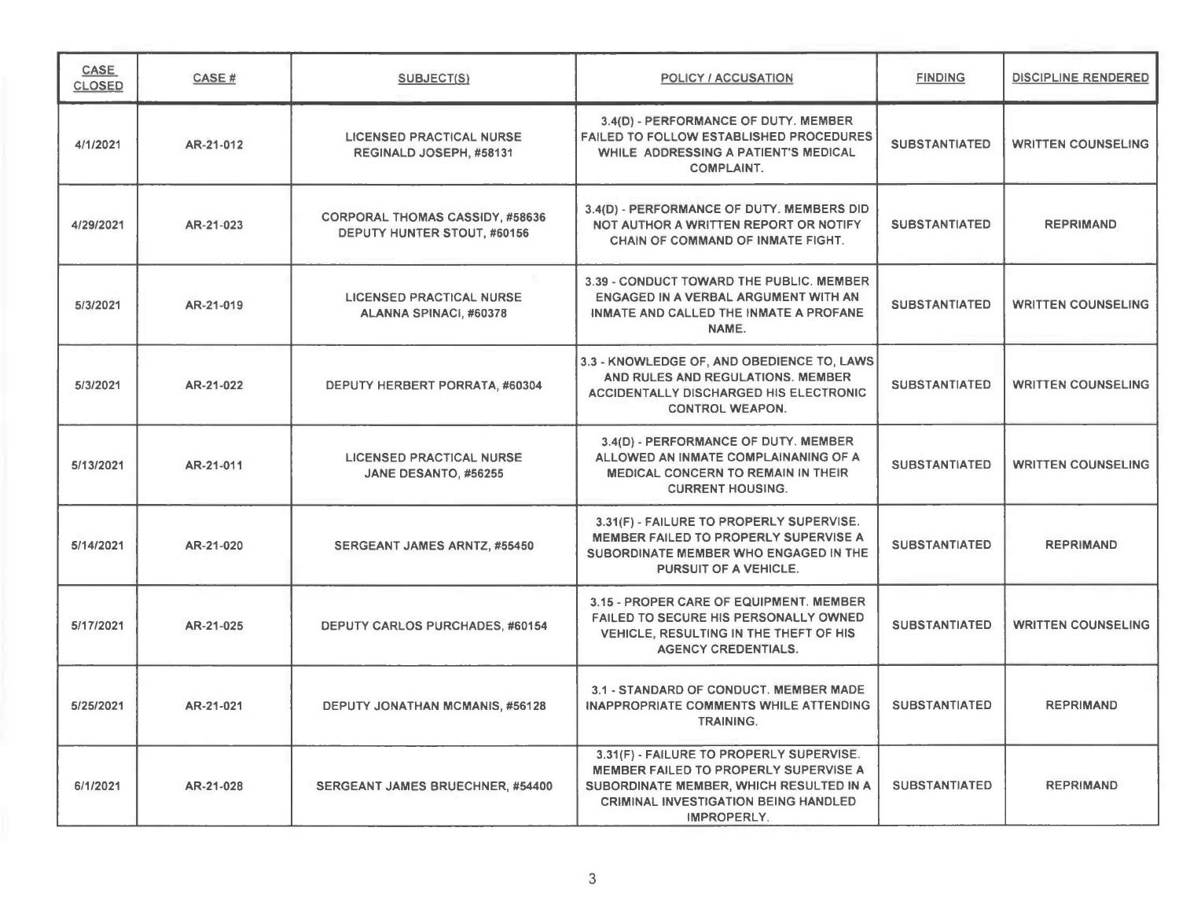| <b>CASE</b><br><b>CLOSED</b> | CASE#     | <b>SUBJECT(S)</b>                                                            | POLICY / ACCUSATION                                                                                                                                                                        | <b>FINDING</b>       | <b>DISCIPLINE RENDERED</b> |
|------------------------------|-----------|------------------------------------------------------------------------------|--------------------------------------------------------------------------------------------------------------------------------------------------------------------------------------------|----------------------|----------------------------|
| 4/1/2021                     | AR-21-012 | <b>LICENSED PRACTICAL NURSE</b><br>REGINALD JOSEPH, #58131                   | 3.4(D) - PERFORMANCE OF DUTY. MEMBER<br><b>FAILED TO FOLLOW ESTABLISHED PROCEDURES</b><br>WHILE ADDRESSING A PATIENT'S MEDICAL<br><b>COMPLAINT.</b>                                        | <b>SUBSTANTIATED</b> | <b>WRITTEN COUNSELING</b>  |
| 4/29/2021                    | AR-21-023 | <b>CORPORAL THOMAS CASSIDY, #58636</b><br><b>DEPUTY HUNTER STOUT, #60156</b> | 3.4(D) - PERFORMANCE OF DUTY. MEMBERS DID<br>NOT AUTHOR A WRITTEN REPORT OR NOTIFY<br>CHAIN OF COMMAND OF INMATE FIGHT.                                                                    | <b>SUBSTANTIATED</b> | <b>REPRIMAND</b>           |
| 5/3/2021                     | AR-21-019 | <b>LICENSED PRACTICAL NURSE</b><br>ALANNA SPINACI, #60378                    | 3.39 - CONDUCT TOWARD THE PUBLIC. MEMBER<br>ENGAGED IN A VERBAL ARGUMENT WITH AN<br>INMATE AND CALLED THE INMATE A PROFANE<br>NAME.                                                        | <b>SUBSTANTIATED</b> | <b>WRITTEN COUNSELING</b>  |
| 5/3/2021                     | AR-21-022 | DEPUTY HERBERT PORRATA, #60304                                               | 3.3 - KNOWLEDGE OF, AND OBEDIENCE TO, LAWS<br>AND RULES AND REGULATIONS. MEMBER<br><b>ACCIDENTALLY DISCHARGED HIS ELECTRONIC</b><br><b>CONTROL WEAPON.</b>                                 | <b>SUBSTANTIATED</b> | <b>WRITTEN COUNSELING</b>  |
| 5/13/2021                    | AR-21-011 | <b>LICENSED PRACTICAL NURSE</b><br>JANE DESANTO, #56255                      | 3.4(D) - PERFORMANCE OF DUTY. MEMBER<br>ALLOWED AN INMATE COMPLAINANING OF A<br><b>MEDICAL CONCERN TO REMAIN IN THEIR</b><br><b>CURRENT HOUSING.</b>                                       | <b>SUBSTANTIATED</b> | <b>WRITTEN COUNSELING</b>  |
| 5/14/2021                    | AR-21-020 | <b>SERGEANT JAMES ARNTZ, #55450</b>                                          | 3.31(F) - FAILURE TO PROPERLY SUPERVISE.<br>MEMBER FAILED TO PROPERLY SUPERVISE A<br>SUBORDINATE MEMBER WHO ENGAGED IN THE<br>PURSUIT OF A VEHICLE.                                        | <b>SUBSTANTIATED</b> | <b>REPRIMAND</b>           |
| 5/17/2021                    | AR-21-025 | <b>DEPUTY CARLOS PURCHADES, #60154</b>                                       | 3.15 - PROPER CARE OF EQUIPMENT. MEMBER<br>FAILED TO SECURE HIS PERSONALLY OWNED<br><b>VEHICLE, RESULTING IN THE THEFT OF HIS</b><br><b>AGENCY CREDENTIALS.</b>                            | <b>SUBSTANTIATED</b> | <b>WRITTEN COUNSELING</b>  |
| 5/25/2021                    | AR-21-021 | <b>DEPUTY JONATHAN MCMANIS, #56128</b>                                       | 3.1 - STANDARD OF CONDUCT. MEMBER MADE<br><b>INAPPROPRIATE COMMENTS WHILE ATTENDING</b><br><b>TRAINING.</b>                                                                                | <b>SUBSTANTIATED</b> | <b>REPRIMAND</b>           |
| 6/1/2021                     | AR-21-028 | <b>SERGEANT JAMES BRUECHNER, #54400</b>                                      | 3.31(F) - FAILURE TO PROPERLY SUPERVISE.<br>MEMBER FAILED TO PROPERLY SUPERVISE A<br>SUBORDINATE MEMBER, WHICH RESULTED IN A<br><b>CRIMINAL INVESTIGATION BEING HANDLED</b><br>IMPROPERLY. | <b>SUBSTANTIATED</b> | <b>REPRIMAND</b>           |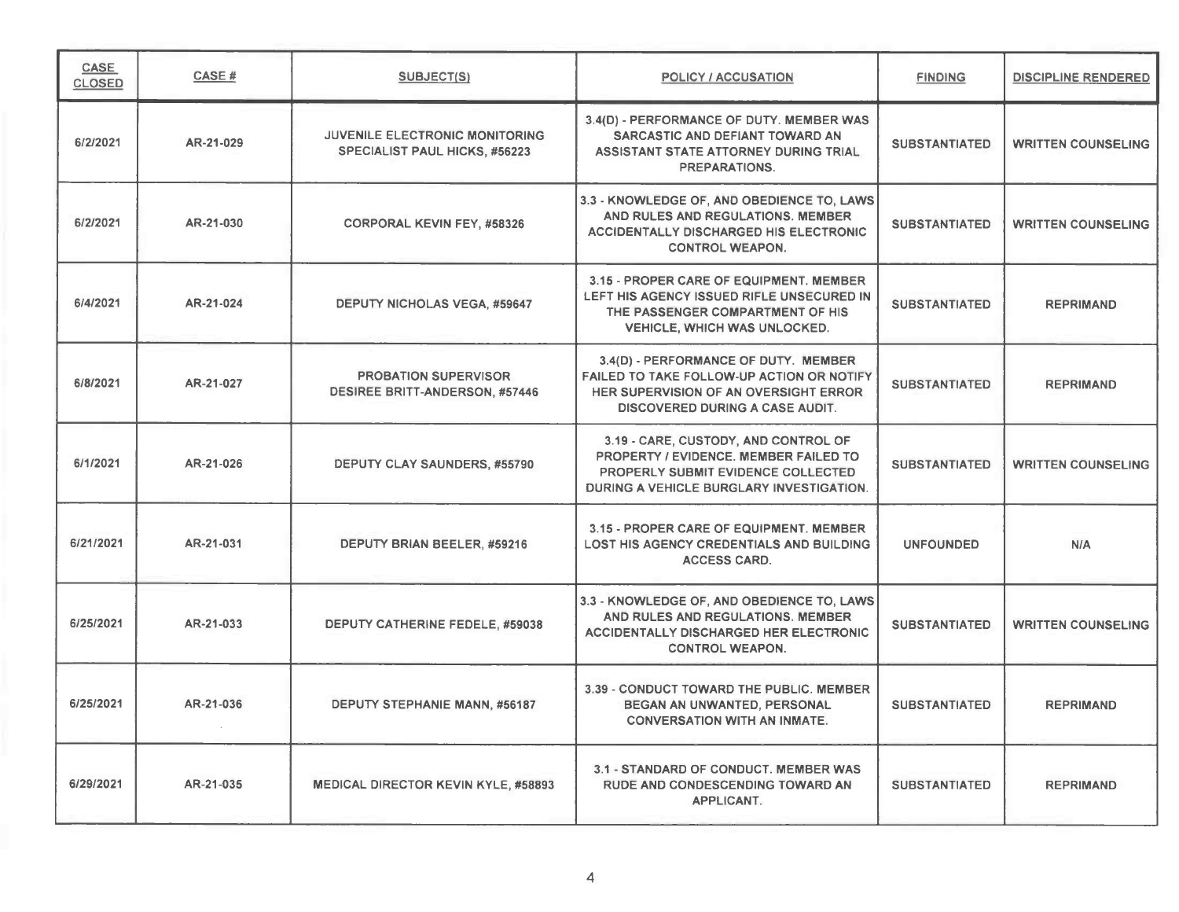| CASE<br><b>CLOSED</b> | CASE#     | <b>SUBJECT(S)</b>                                                    | POLICY / ACCUSATION                                                                                                                                                  | <b>FINDING</b>       | <b>DISCIPLINE RENDERED</b> |
|-----------------------|-----------|----------------------------------------------------------------------|----------------------------------------------------------------------------------------------------------------------------------------------------------------------|----------------------|----------------------------|
| 6/2/2021              | AR-21-029 | JUVENILE ELECTRONIC MONITORING<br>SPECIALIST PAUL HICKS, #56223      | 3.4(D) - PERFORMANCE OF DUTY. MEMBER WAS<br>SARCASTIC AND DEFIANT TOWARD AN<br>ASSISTANT STATE ATTORNEY DURING TRIAL<br>PREPARATIONS.                                | <b>SUBSTANTIATED</b> | <b>WRITTEN COUNSELING</b>  |
| 6/2/2021              | AR-21-030 | <b>CORPORAL KEVIN FEY, #58326</b>                                    | 3.3 - KNOWLEDGE OF, AND OBEDIENCE TO, LAWS<br>AND RULES AND REGULATIONS. MEMBER<br><b>ACCIDENTALLY DISCHARGED HIS ELECTRONIC</b><br><b>CONTROL WEAPON.</b>           | <b>SUBSTANTIATED</b> | <b>WRITTEN COUNSELING</b>  |
| 6/4/2021              | AR-21-024 | <b>DEPUTY NICHOLAS VEGA, #59647</b>                                  | 3.15 - PROPER CARE OF EQUIPMENT. MEMBER<br>LEFT HIS AGENCY ISSUED RIFLE UNSECURED IN<br>THE PASSENGER COMPARTMENT OF HIS<br>VEHICLE, WHICH WAS UNLOCKED.             | <b>SUBSTANTIATED</b> | <b>REPRIMAND</b>           |
| 6/8/2021              | AR-21-027 | <b>PROBATION SUPERVISOR</b><br><b>DESIREE BRITT-ANDERSON, #57446</b> | 3.4(D) - PERFORMANCE OF DUTY. MEMBER<br>FAILED TO TAKE FOLLOW-UP ACTION OR NOTIFY<br>HER SUPERVISION OF AN OVERSIGHT ERROR<br><b>DISCOVERED DURING A CASE AUDIT.</b> | <b>SUBSTANTIATED</b> | <b>REPRIMAND</b>           |
| 6/1/2021              | AR-21-026 | DEPUTY CLAY SAUNDERS, #55790                                         | 3.19 - CARE, CUSTODY, AND CONTROL OF<br>PROPERTY / EVIDENCE. MEMBER FAILED TO<br>PROPERLY SUBMIT EVIDENCE COLLECTED<br>DURING A VEHICLE BURGLARY INVESTIGATION.      | <b>SUBSTANTIATED</b> | <b>WRITTEN COUNSELING</b>  |
| 6/21/2021             | AR-21-031 | DEPUTY BRIAN BEELER, #59216                                          | 3.15 - PROPER CARE OF EQUIPMENT, MEMBER<br><b>LOST HIS AGENCY CREDENTIALS AND BUILDING</b><br><b>ACCESS CARD.</b>                                                    | <b>UNFOUNDED</b>     | N/A                        |
| 6/25/2021             | AR-21-033 | DEPUTY CATHERINE FEDELE, #59038                                      | 3.3 - KNOWLEDGE OF, AND OBEDIENCE TO, LAWS<br>AND RULES AND REGULATIONS. MEMBER<br><b>ACCIDENTALLY DISCHARGED HER ELECTRONIC</b><br><b>CONTROL WEAPON.</b>           | <b>SUBSTANTIATED</b> | <b>WRITTEN COUNSELING</b>  |
| 6/25/2021             | AR-21-036 | DEPUTY STEPHANIE MANN, #56187                                        | 3.39 - CONDUCT TOWARD THE PUBLIC. MEMBER<br>BEGAN AN UNWANTED, PERSONAL<br><b>CONVERSATION WITH AN INMATE.</b>                                                       | <b>SUBSTANTIATED</b> | <b>REPRIMAND</b>           |
| 6/29/2021             | AR-21-035 | <b>MEDICAL DIRECTOR KEVIN KYLE, #58893</b>                           | 3.1 - STANDARD OF CONDUCT. MEMBER WAS<br>RUDE AND CONDESCENDING TOWARD AN<br>APPLICANT.                                                                              | <b>SUBSTANTIATED</b> | <b>REPRIMAND</b>           |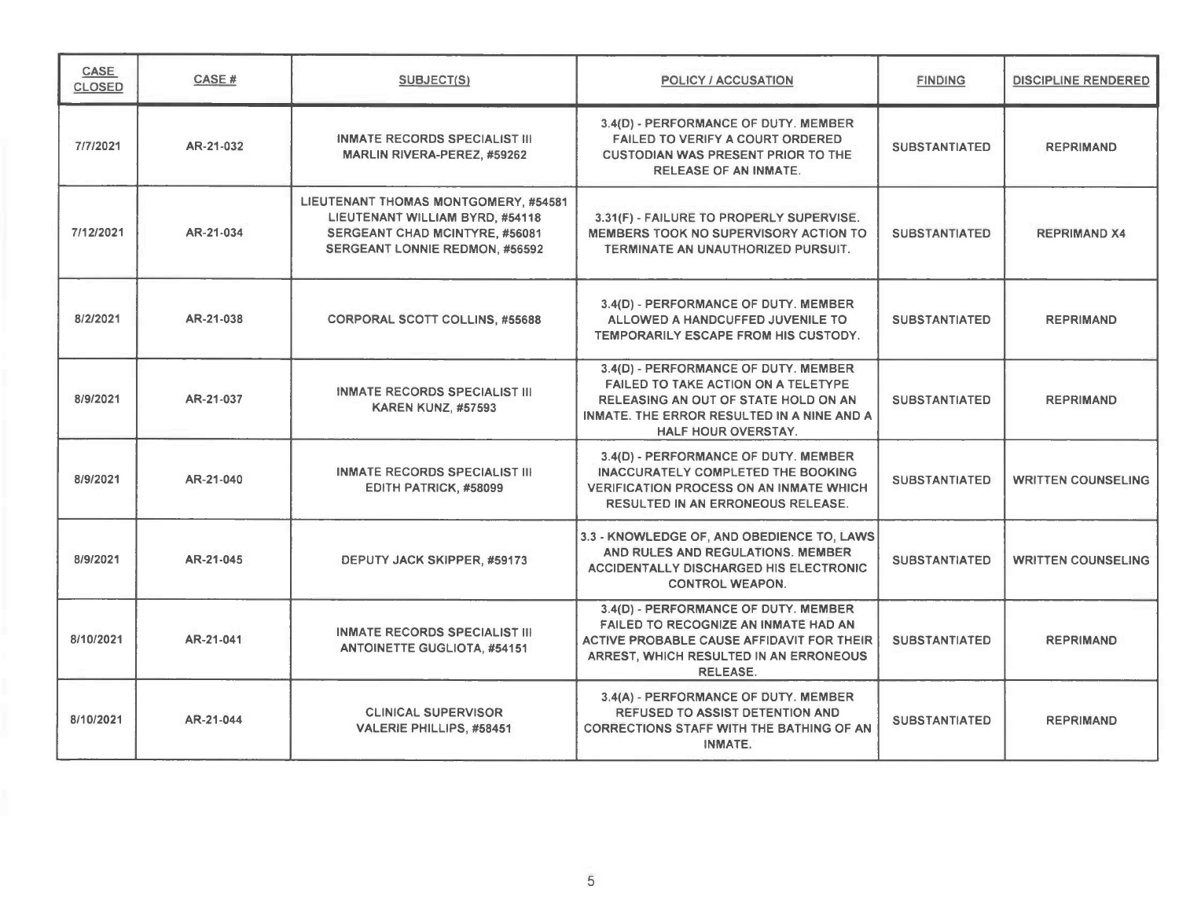| CASE<br><b>CLOSED</b> | CASE#     | <b>SUBJECT(S)</b>                                                                                                                                  | <b>POLICY / ACCUSATION</b>                                                                                                                                                                      | <b>FINDING</b>       | DISCIPLINE RENDERED       |
|-----------------------|-----------|----------------------------------------------------------------------------------------------------------------------------------------------------|-------------------------------------------------------------------------------------------------------------------------------------------------------------------------------------------------|----------------------|---------------------------|
| 7/7/2021              | AR-21-032 | <b>INMATE RECORDS SPECIALIST III</b><br><b>MARLIN RIVERA-PEREZ, #59262</b>                                                                         | 3.4(D) - PERFORMANCE OF DUTY. MEMBER<br><b>FAILED TO VERIFY A COURT ORDERED</b><br><b>CUSTODIAN WAS PRESENT PRIOR TO THE</b><br><b>RELEASE OF AN INMATE.</b>                                    | <b>SUBSTANTIATED</b> | <b>REPRIMAND</b>          |
| 7/12/2021             | AR-21-034 | LIEUTENANT THOMAS MONTGOMERY, #54581<br>LIEUTENANT WILLIAM BYRD, #54118<br>SERGEANT CHAD MCINTYRE, #56081<br><b>SERGEANT LONNIE REDMON, #56592</b> | 3.31(F) - FAILURE TO PROPERLY SUPERVISE.<br>MEMBERS TOOK NO SUPERVISORY ACTION TO<br>TERMINATE AN UNAUTHORIZED PURSUIT.                                                                         | <b>SUBSTANTIATED</b> | <b>REPRIMAND X4</b>       |
| 8/2/2021              | AR-21-038 | <b>CORPORAL SCOTT COLLINS, #55688</b>                                                                                                              | 3.4(D) - PERFORMANCE OF DUTY. MEMBER<br>ALLOWED A HANDCUFFED JUVENILE TO<br>TEMPORARILY ESCAPE FROM HIS CUSTODY.                                                                                | <b>SUBSTANTIATED</b> | <b>REPRIMAND</b>          |
| 8/9/2021              | AR-21-037 | <b>INMATE RECORDS SPECIALIST III</b><br><b>KAREN KUNZ, #57593</b>                                                                                  | 3.4(D) - PERFORMANCE OF DUTY. MEMBER<br><b>FAILED TO TAKE ACTION ON A TELETYPE</b><br>RELEASING AN OUT OF STATE HOLD ON AN<br>INMATE. THE ERROR RESULTED IN A NINE AND A<br>HALF HOUR OVERSTAY. | <b>SUBSTANTIATED</b> | <b>REPRIMAND</b>          |
| 8/9/2021              | AR-21-040 | <b>INMATE RECORDS SPECIALIST III</b><br>EDITH PATRICK, #58099                                                                                      | 3.4(D) - PERFORMANCE OF DUTY. MEMBER<br><b>INACCURATELY COMPLETED THE BOOKING</b><br><b>VERIFICATION PROCESS ON AN INMATE WHICH</b><br>RESULTED IN AN ERRONEOUS RELEASE.                        | <b>SUBSTANTIATED</b> | <b>WRITTEN COUNSELING</b> |
| 8/9/2021              | AR-21-045 | DEPUTY JACK SKIPPER, #59173                                                                                                                        | 3.3 - KNOWLEDGE OF, AND OBEDIENCE TO, LAWS<br>AND RULES AND REGULATIONS. MEMBER<br><b>ACCIDENTALLY DISCHARGED HIS ELECTRONIC</b><br><b>CONTROL WEAPON.</b>                                      | <b>SUBSTANTIATED</b> | <b>WRITTEN COUNSELING</b> |
| 8/10/2021             | AR-21-041 | <b>INMATE RECORDS SPECIALIST III</b><br><b>ANTOINETTE GUGLIOTA, #54151</b>                                                                         | 3.4(D) - PERFORMANCE OF DUTY. MEMBER<br>FAILED TO RECOGNIZE AN INMATE HAD AN<br><b>ACTIVE PROBABLE CAUSE AFFIDAVIT FOR THEIR</b><br>ARREST, WHICH RESULTED IN AN ERRONEOUS<br><b>RELEASE.</b>   | <b>SUBSTANTIATED</b> | <b>REPRIMAND</b>          |
| 8/10/2021             | AR-21-044 | <b>CLINICAL SUPERVISOR</b><br>VALERIE PHILLIPS, #58451                                                                                             | 3.4(A) - PERFORMANCE OF DUTY. MEMBER<br><b>REFUSED TO ASSIST DETENTION AND</b><br><b>CORRECTIONS STAFF WITH THE BATHING OF AN</b><br>INMATE.                                                    | <b>SUBSTANTIATED</b> | <b>REPRIMAND</b>          |